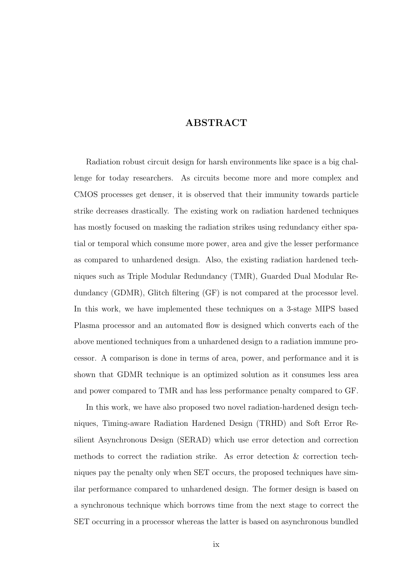## ABSTRACT

Radiation robust circuit design for harsh environments like space is a big challenge for today researchers. As circuits become more and more complex and CMOS processes get denser, it is observed that their immunity towards particle strike decreases drastically. The existing work on radiation hardened techniques has mostly focused on masking the radiation strikes using redundancy either spatial or temporal which consume more power, area and give the lesser performance as compared to unhardened design. Also, the existing radiation hardened techniques such as Triple Modular Redundancy (TMR), Guarded Dual Modular Redundancy (GDMR), Glitch filtering (GF) is not compared at the processor level. In this work, we have implemented these techniques on a 3-stage MIPS based Plasma processor and an automated flow is designed which converts each of the above mentioned techniques from a unhardened design to a radiation immune processor. A comparison is done in terms of area, power, and performance and it is shown that GDMR technique is an optimized solution as it consumes less area and power compared to TMR and has less performance penalty compared to GF.

In this work, we have also proposed two novel radiation-hardened design techniques, Timing-aware Radiation Hardened Design (TRHD) and Soft Error Resilient Asynchronous Design (SERAD) which use error detection and correction methods to correct the radiation strike. As error detection & correction techniques pay the penalty only when SET occurs, the proposed techniques have similar performance compared to unhardened design. The former design is based on a synchronous technique which borrows time from the next stage to correct the SET occurring in a processor whereas the latter is based on asynchronous bundled